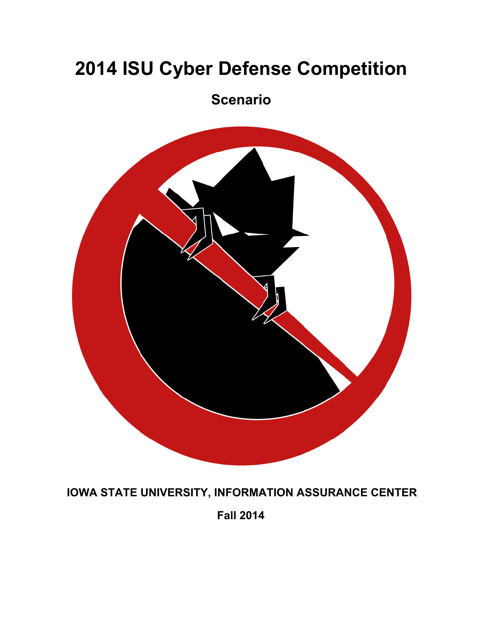# **2014 ISU Cyber Defense Competition**

## **Scenario**



**IOWA STATE UNIVERSITY, INFORMATION ASSURANCE CENTER**

**Fall 2014**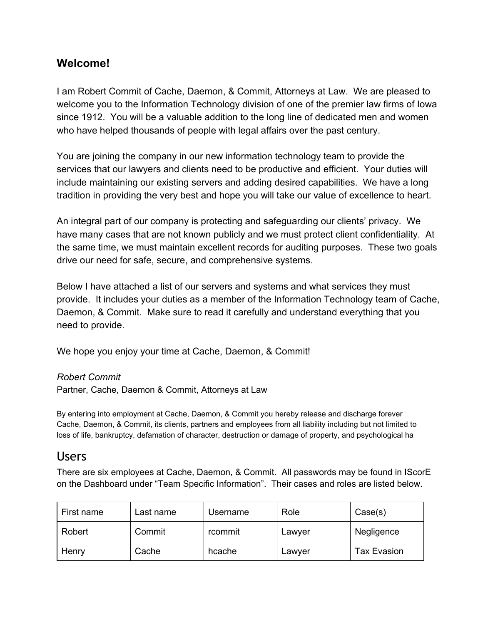## **Welcome!**

I am Robert Commit of Cache, Daemon, & Commit, Attorneys at Law. We are pleased to welcome you to the Information Technology division of one of the premier law firms of Iowa since 1912. You will be a valuable addition to the long line of dedicated men and women who have helped thousands of people with legal affairs over the past century.

You are joining the company in our new information technology team to provide the services that our lawyers and clients need to be productive and efficient. Your duties will include maintaining our existing servers and adding desired capabilities. We have a long tradition in providing the very best and hope you will take our value of excellence to heart.

An integral part of our company is protecting and safeguarding our clients' privacy. We have many cases that are not known publicly and we must protect client confidentiality. At the same time, we must maintain excellent records for auditing purposes. These two goals drive our need for safe, secure, and comprehensive systems.

Below I have attached a list of our servers and systems and what services they must provide. It includes your duties as a member of the Information Technology team of Cache, Daemon, & Commit. Make sure to read it carefully and understand everything that you need to provide.

We hope you enjoy your time at Cache, Daemon, & Commit!

#### *Robert Commit*

Partner, Cache, Daemon & Commit, Attorneys at Law

By entering into employment at Cache, Daemon, & Commit you hereby release and discharge forever Cache, Daemon, & Commit, its clients, partners and employees from all liability including but not limited to loss of life, bankruptcy, defamation of character, destruction or damage of property, and psychological ha

## Users

There are six employees at Cache, Daemon, & Commit. All passwords may be found in IScorE on the Dashboard under "Team Specific Information". Their cases and roles are listed below.

| First name | Last name | Username | Role   | Case(s)            |
|------------|-----------|----------|--------|--------------------|
| Robert     | Commit    | rcommit  | Lawyer | Negligence         |
| Henry      | Cache     | hcache   | Lawyer | <b>Tax Evasion</b> |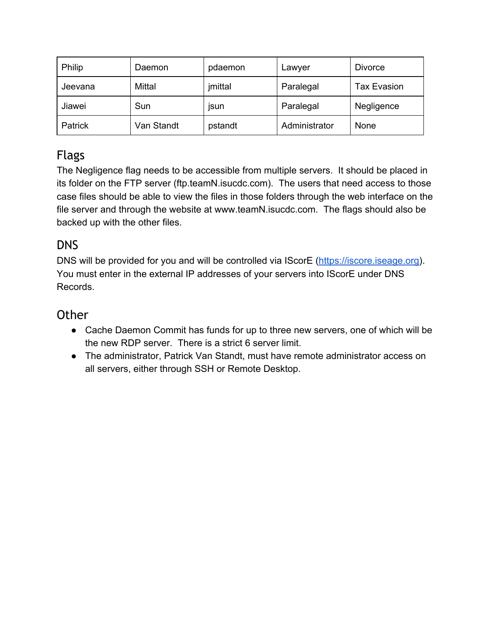| Philip  | Daemon     | pdaemon     | Lawyer        | <b>Divorce</b>     |
|---------|------------|-------------|---------------|--------------------|
| Jeevana | Mittal     | jmittal     | Paralegal     | <b>Tax Evasion</b> |
| Jiawei  | Sun        | <b>ISUN</b> | Paralegal     | Negligence         |
| Patrick | Van Standt | pstandt     | Administrator | <b>None</b>        |

## Flags

The Negligence flag needs to be accessible from multiple servers. It should be placed in its folder on the FTP server (ftp.teamN.isucdc.com). The users that need access to those case files should be able to view the files in those folders through the web interface on the file server and through the website at www.teamN.isucdc.com. The flags should also be backed up with the other files.

## DNS

DNS will be provided for you and will be controlled via IScorE [\(https://iscore.iseage.org\)](https://www.google.com/url?q=https%3A%2F%2Fiscore.iseage.org&sa=D&sntz=1&usg=AFQjCNEQN8S8GvqwOTVvSfq_ErhT3wtqpA). You must enter in the external IP addresses of your servers into IScorE under DNS Records.

## **Other**

- Cache Daemon Commit has funds for up to three new servers, one of which will be the new RDP server. There is a strict 6 server limit.
- The administrator, Patrick Van Standt, must have remote administrator access on all servers, either through SSH or Remote Desktop.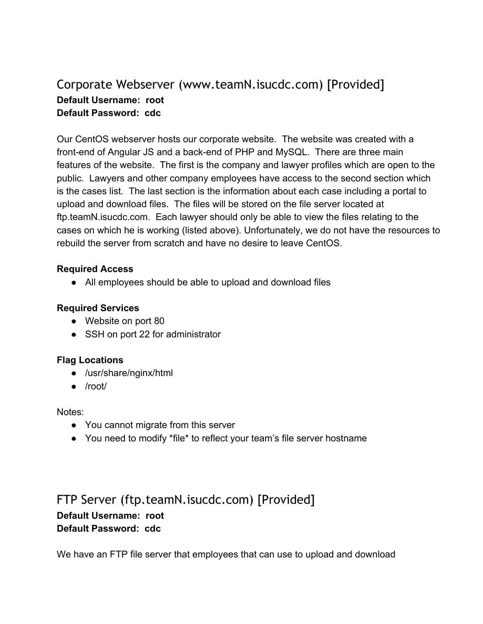## Corporate Webserver (www.teamN.isucdc.com) [Provided] **Default Username: root Default Password: cdc**

Our CentOS webserver hosts our corporate website. The website was created with a front-end of Angular JS and a back-end of PHP and MySQL. There are three main features of the website. The first is the company and lawyer profiles which are open to the public. Lawyers and other company employees have access to the second section which is the cases list. The last section is the information about each case including a portal to upload and download files. The files will be stored on the file server located at ftp.teamN.isucdc.com. Each lawyer should only be able to view the files relating to the cases on which he is working (listed above). Unfortunately, we do not have the resources to rebuild the server from scratch and have no desire to leave CentOS.

### **Required Access**

● All employees should be able to upload and download files

#### **Required Services**

- Website on port 80
- SSH on port 22 for administrator

### **Flag Locations**

- /usr/share/nginx/html
- /root/

#### Notes:

- You cannot migrate from this server
- You need to modify \*file\* to reflect your team's file server hostname

## FTP Server (ftp.teamN.isucdc.com) [Provided] **Default Username: root Default Password: cdc**

We have an FTP file server that employees that can use to upload and download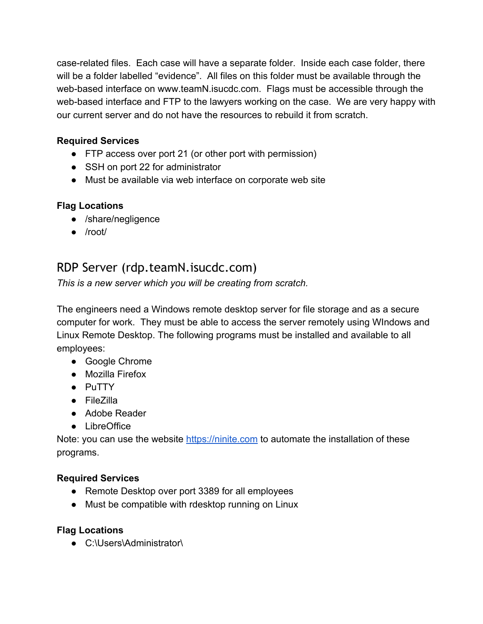caserelated files. Each case will have a separate folder. Inside each case folder, there will be a folder labelled "evidence". All files on this folder must be available through the web-based interface on www.teamN.isucdc.com. Flags must be accessible through the web-based interface and FTP to the lawyers working on the case. We are very happy with our current server and do not have the resources to rebuild it from scratch.

## **Required Services**

- FTP access over port 21 (or other port with permission)
- SSH on port 22 for administrator
- Must be available via web interface on corporate web site

## **Flag Locations**

- /share/negligence
- /root/

## RDP Server (rdp.teamN.isucdc.com)

*This is a new server which you will be creating from scratch.*

The engineers need a Windows remote desktop server for file storage and as a secure computer for work. They must be able to access the server remotely using WIndows and Linux Remote Desktop. The following programs must be installed and available to all employees:

- Google Chrome
- Mozilla Firefox
- PuTTY
- FileZilla
- Adobe Reader
- LibreOffice

Note: you can use the website [https://ninite.com](https://www.google.com/url?q=https%3A%2F%2Fninite.com&sa=D&sntz=1&usg=AFQjCNH53EVH5Jj1S1Hnc5FTtEknwWfcXg) to automate the installation of these programs.

## **Required Services**

- Remote Desktop over port 3389 for all employees
- Must be compatible with rdesktop running on Linux

## **Flag Locations**

● C:\Users\Administrator\